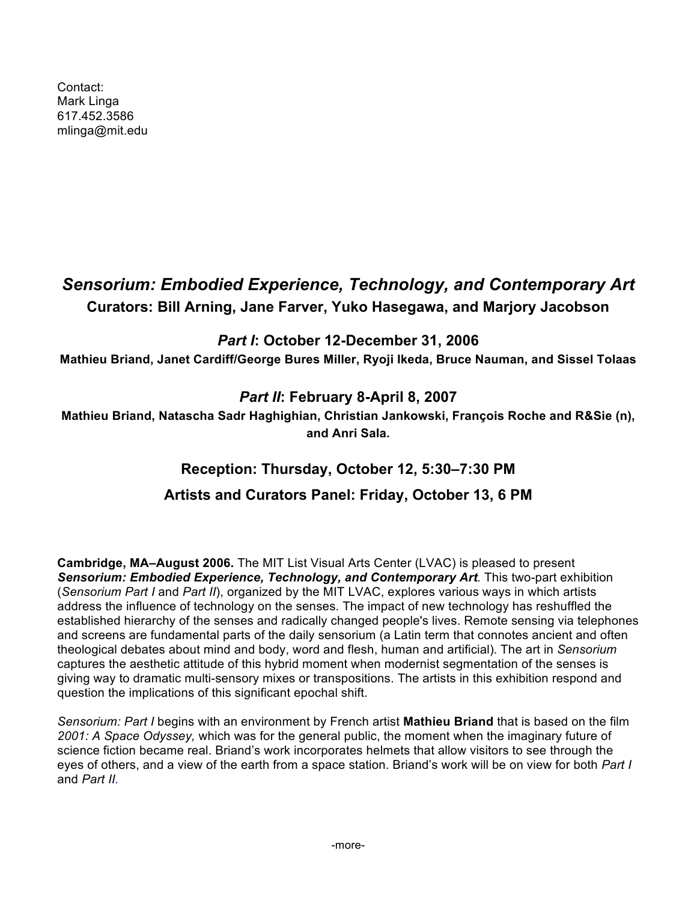Contact: Mark Linga 617.452.3586 mlinga@mit.edu

# *Sensorium: Embodied Experience, Technology, and Contemporary Art* **Curators: Bill Arning, Jane Farver, Yuko Hasegawa, and Marjory Jacobson**

## *Part I***: October 12-December 31, 2006**

**Mathieu Briand, Janet Cardiff/George Bures Miller, Ryoji Ikeda, Bruce Nauman, and Sissel Tolaas**

### *Part II***: February 8-April 8, 2007**

**Mathieu Briand, Natascha Sadr Haghighian, Christian Jankowski, François Roche and R&Sie (n), and Anri Sala.**

# **Reception: Thursday, October 12, 5:30–7:30 PM**

# **Artists and Curators Panel: Friday, October 13, 6 PM**

**Cambridge, MA–August 2006.** The MIT List Visual Arts Center (LVAC) is pleased to present *Sensorium: Embodied Experience, Technology, and Contemporary Art.* This two-part exhibition (*Sensorium Part I* and *Part II*), organized by the MIT LVAC, explores various ways in which artists address the influence of technology on the senses. The impact of new technology has reshuffled the established hierarchy of the senses and radically changed people's lives. Remote sensing via telephones and screens are fundamental parts of the daily sensorium (a Latin term that connotes ancient and often theological debates about mind and body, word and flesh, human and artificial). The art in *Sensorium*  captures the aesthetic attitude of this hybrid moment when modernist segmentation of the senses is giving way to dramatic multi-sensory mixes or transpositions. The artists in this exhibition respond and question the implications of this significant epochal shift.

*Sensorium: Part I* begins with an environment by French artist **Mathieu Briand** that is based on the film *2001: A Space Odyssey,* which was for the general public, the moment when the imaginary future of science fiction became real. Briand's work incorporates helmets that allow visitors to see through the eyes of others, and a view of the earth from a space station. Briand's work will be on view for both *Part I*  and *Part II.*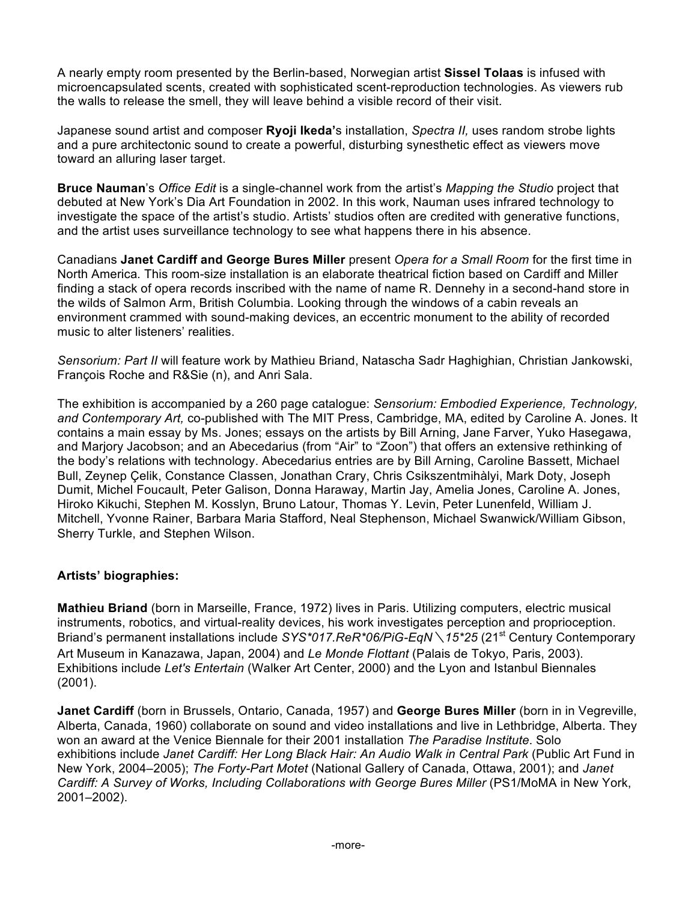A nearly empty room presented by the Berlin-based, Norwegian artist **Sissel Tolaas** is infused with microencapsulated scents, created with sophisticated scent-reproduction technologies. As viewers rub the walls to release the smell, they will leave behind a visible record of their visit.

Japanese sound artist and composer **Ryoji Ikeda'**s installation, *Spectra II,* uses random strobe lights and a pure architectonic sound to create a powerful, disturbing synesthetic effect as viewers move toward an alluring laser target.

**Bruce Nauman**'s *Office Edit* is a single-channel work from the artist's *Mapping the Studio* project that debuted at New York's Dia Art Foundation in 2002. In this work, Nauman uses infrared technology to investigate the space of the artist's studio. Artists' studios often are credited with generative functions, and the artist uses surveillance technology to see what happens there in his absence.

Canadians **Janet Cardiff and George Bures Miller** present *Opera for a Small Room* for the first time in North America*.* This room-size installation is an elaborate theatrical fiction based on Cardiff and Miller finding a stack of opera records inscribed with the name of name R. Dennehy in a second-hand store in the wilds of Salmon Arm, British Columbia. Looking through the windows of a cabin reveals an environment crammed with sound-making devices, an eccentric monument to the ability of recorded music to alter listeners' realities.

*Sensorium: Part II* will feature work by Mathieu Briand, Natascha Sadr Haghighian, Christian Jankowski, François Roche and R&Sie (n), and Anri Sala.

The exhibition is accompanied by a 260 page catalogue: *Sensorium: Embodied Experience, Technology, and Contemporary Art,* co-published with The MIT Press, Cambridge, MA, edited by Caroline A. Jones. It contains a main essay by Ms. Jones; essays on the artists by Bill Arning, Jane Farver, Yuko Hasegawa, and Marjory Jacobson; and an Abecedarius (from "Air" to "Zoon") that offers an extensive rethinking of the body's relations with technology. Abecedarius entries are by Bill Arning, Caroline Bassett, Michael Bull, Zeynep Çelik, Constance Classen, Jonathan Crary, Chris Csikszentmihàlyi, Mark Doty, Joseph Dumit, Michel Foucault, Peter Galison, Donna Haraway, Martin Jay, Amelia Jones, Caroline A. Jones, Hiroko Kikuchi, Stephen M. Kosslyn, Bruno Latour, Thomas Y. Levin, Peter Lunenfeld, William J. Mitchell, Yvonne Rainer, Barbara Maria Stafford, Neal Stephenson, Michael Swanwick/William Gibson, Sherry Turkle, and Stephen Wilson.

### **Artists' biographies:**

**Mathieu Briand** (born in Marseille, France, 1972) lives in Paris. Utilizing computers, electric musical instruments, robotics, and virtual-reality devices, his work investigates perception and proprioception. Briand's permanent installations include *SYS\*017.ReR\*06/PiG-EqN* \ 15\*25 (21<sup>st</sup> Century Contemporary Art Museum in Kanazawa, Japan, 2004) and *Le Monde Flottant* (Palais de Tokyo, Paris, 2003). Exhibitions include *Let's Entertain* (Walker Art Center, 2000) and the Lyon and Istanbul Biennales (2001).

**Janet Cardiff** (born in Brussels, Ontario, Canada, 1957) and **George Bures Miller** (born in in Vegreville, Alberta, Canada, 1960) collaborate on sound and video installations and live in Lethbridge, Alberta. They won an award at the Venice Biennale for their 2001 installation *The Paradise Institute*. Solo exhibitions include *Janet Cardiff: Her Long Black Hair: An Audio Walk in Central Park* (Public Art Fund in New York, 2004–2005); *The Forty-Part Motet* (National Gallery of Canada, Ottawa, 2001); and *Janet Cardiff: A Survey of Works, Including Collaborations with George Bures Miller* (PS1/MoMA in New York, 2001–2002).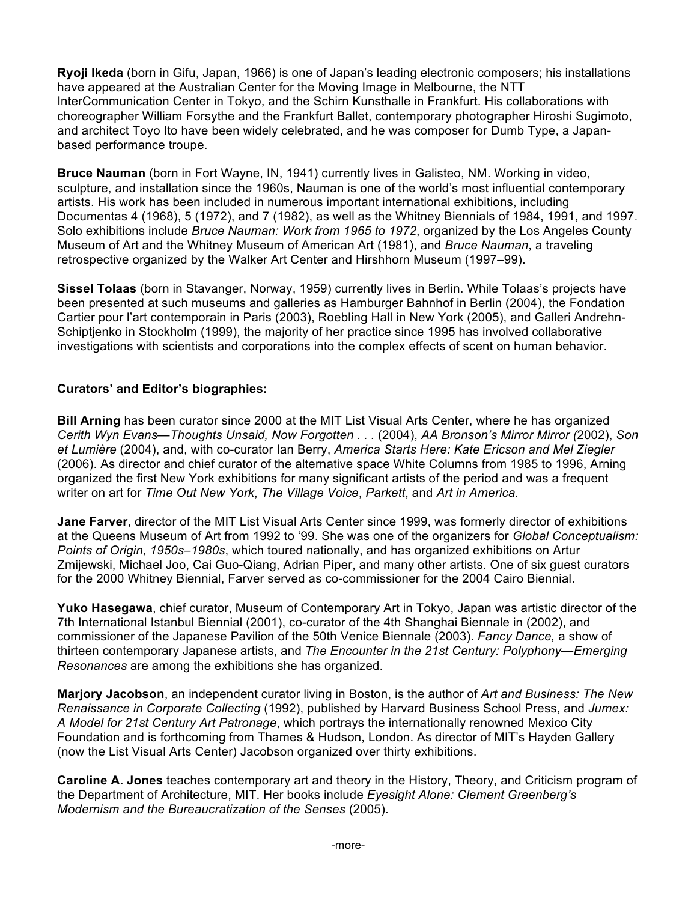**Ryoji Ikeda** (born in Gifu, Japan, 1966) is one of Japan's leading electronic composers; his installations have appeared at the Australian Center for the Moving Image in Melbourne, the NTT InterCommunication Center in Tokyo, and the Schirn Kunsthalle in Frankfurt. His collaborations with choreographer William Forsythe and the Frankfurt Ballet, contemporary photographer Hiroshi Sugimoto, and architect Toyo Ito have been widely celebrated, and he was composer for Dumb Type, a Japanbased performance troupe.

**Bruce Nauman** (born in Fort Wayne, IN, 1941) currently lives in Galisteo, NM. Working in video, sculpture, and installation since the 1960s, Nauman is one of the world's most influential contemporary artists. His work has been included in numerous important international exhibitions, including Documentas 4 (1968), 5 (1972), and 7 (1982), as well as the Whitney Biennials of 1984, 1991, and 1997. Solo exhibitions include *Bruce Nauman: Work from 1965 to 1972*, organized by the Los Angeles County Museum of Art and the Whitney Museum of American Art (1981), and *Bruce Nauman*, a traveling retrospective organized by the Walker Art Center and Hirshhorn Museum (1997–99).

**Sissel Tolaas** (born in Stavanger, Norway, 1959) currently lives in Berlin. While Tolaas's projects have been presented at such museums and galleries as Hamburger Bahnhof in Berlin (2004), the Fondation Cartier pour l'art contemporain in Paris (2003), Roebling Hall in New York (2005), and Galleri Andrehn-Schiptjenko in Stockholm (1999), the majority of her practice since 1995 has involved collaborative investigations with scientists and corporations into the complex effects of scent on human behavior.

### **Curators' and Editor's biographies:**

**Bill Arning** has been curator since 2000 at the MIT List Visual Arts Center, where he has organized *Cerith Wyn Evans—Thoughts Unsaid, Now Forgotten . . .* (2004), *AA Bronson's Mirror Mirror (*2002), *Son et Lumière* (2004), and, with co-curator Ian Berry, *America Starts Here: Kate Ericson and Mel Ziegler* (2006). As director and chief curator of the alternative space White Columns from 1985 to 1996, Arning organized the first New York exhibitions for many significant artists of the period and was a frequent writer on art for *Time Out New York*, *The Village Voice*, *Parkett*, and *Art in America.*

**Jane Farver**, director of the MIT List Visual Arts Center since 1999, was formerly director of exhibitions at the Queens Museum of Art from 1992 to '99. She was one of the organizers for *Global Conceptualism: Points of Origin, 1950s–1980s*, which toured nationally, and has organized exhibitions on Artur Zmijewski, Michael Joo, Cai Guo-Qiang, Adrian Piper, and many other artists. One of six guest curators for the 2000 Whitney Biennial, Farver served as co-commissioner for the 2004 Cairo Biennial.

**Yuko Hasegawa**, chief curator, Museum of Contemporary Art in Tokyo, Japan was artistic director of the 7th International Istanbul Biennial (2001), co-curator of the 4th Shanghai Biennale in (2002), and commissioner of the Japanese Pavilion of the 50th Venice Biennale (2003). *Fancy Dance,* a show of thirteen contemporary Japanese artists, and *The Encounter in the 21st Century: Polyphony—Emerging Resonances* are among the exhibitions she has organized.

**Marjory Jacobson**, an independent curator living in Boston, is the author of *Art and Business: The New Renaissance in Corporate Collecting* (1992), published by Harvard Business School Press, and *Jumex: A Model for 21st Century Art Patronage*, which portrays the internationally renowned Mexico City Foundation and is forthcoming from Thames & Hudson, London. As director of MIT's Hayden Gallery (now the List Visual Arts Center) Jacobson organized over thirty exhibitions.

**Caroline A. Jones** teaches contemporary art and theory in the History, Theory, and Criticism program of the Department of Architecture, MIT. Her books include *Eyesight Alone: Clement Greenberg's Modernism and the Bureaucratization of the Senses* (2005).